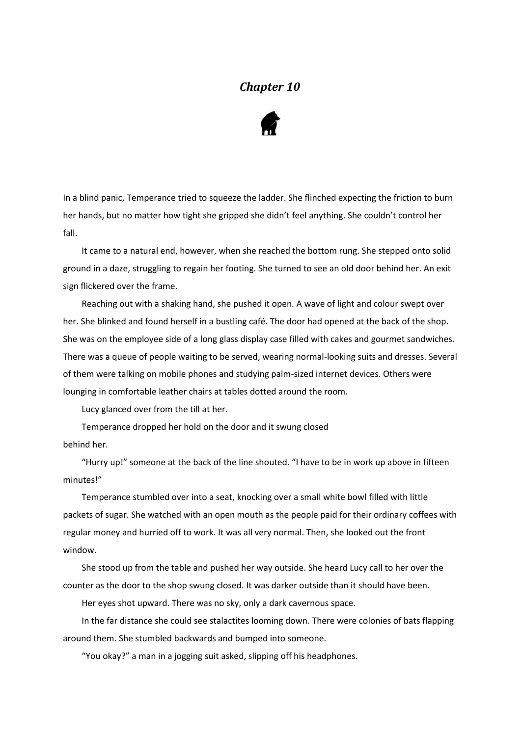## *Chapter 10*



In a blind panic, Temperance tried to squeeze the ladder. She flinched expecting the friction to burn her hands, but no matter how tight she gripped she didn't feel anything. She couldn't control her fall.

It came to a natural end, however, when she reached the bottom rung. She stepped onto solid ground in a daze, struggling to regain her footing. She turned to see an old door behind her. An exit sign flickered over the frame.

Reaching out with a shaking hand, she pushed it open. A wave of light and colour swept over her. She blinked and found herself in a bustling café. The door had opened at the back of the shop. She was on the employee side of a long glass display case filled with cakes and gourmet sandwiches. There was a queue of people waiting to be served, wearing normal-looking suits and dresses. Several of them were talking on mobile phones and studying palm-sized internet devices. Others were lounging in comfortable leather chairs at tables dotted around the room.

Lucy glanced over from the till at her.

Temperance dropped her hold on the door and it swung closed behind her.

"Hurry up!" someone at the back of the line shouted. "I have to be in work up above in fifteen minutes!"

Temperance stumbled over into a seat, knocking over a small white bowl filled with little packets of sugar. She watched with an open mouth as the people paid for their ordinary coffees with regular money and hurried off to work. It was all very normal. Then, she looked out the front window.

She stood up from the table and pushed her way outside. She heard Lucy call to her over the counter as the door to the shop swung closed. It was darker outside than it should have been.

Her eyes shot upward. There was no sky, only a dark cavernous space.

In the far distance she could see stalactites looming down. There were colonies of bats flapping around them. She stumbled backwards and bumped into someone.

"You okay?" a man in a jogging suit asked, slipping off his headphones.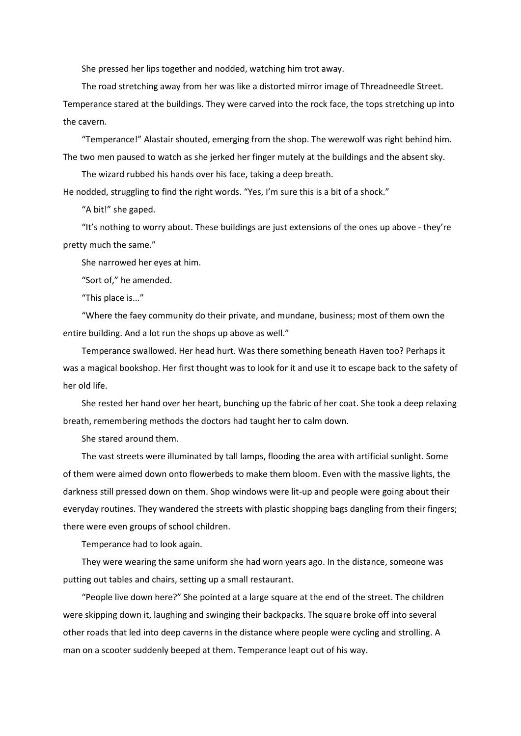She pressed her lips together and nodded, watching him trot away.

The road stretching away from her was like a distorted mirror image of Threadneedle Street. Temperance stared at the buildings. They were carved into the rock face, the tops stretching up into the cavern.

"Temperance!" Alastair shouted, emerging from the shop. The werewolf was right behind him. The two men paused to watch as she jerked her finger mutely at the buildings and the absent sky.

The wizard rubbed his hands over his face, taking a deep breath.

He nodded, struggling to find the right words. "Yes, I'm sure this is a bit of a shock."

"A bit!" she gaped.

"It's nothing to worry about. These buildings are just extensions of the ones up above - they're pretty much the same."

She narrowed her eyes at him.

"Sort of," he amended.

"This place is..."

"Where the faey community do their private, and mundane, business; most of them own the entire building. And a lot run the shops up above as well."

Temperance swallowed. Her head hurt. Was there something beneath Haven too? Perhaps it was a magical bookshop. Her first thought was to look for it and use it to escape back to the safety of her old life.

She rested her hand over her heart, bunching up the fabric of her coat. She took a deep relaxing breath, remembering methods the doctors had taught her to calm down.

She stared around them.

The vast streets were illuminated by tall lamps, flooding the area with artificial sunlight. Some of them were aimed down onto flowerbeds to make them bloom. Even with the massive lights, the darkness still pressed down on them. Shop windows were lit-up and people were going about their everyday routines. They wandered the streets with plastic shopping bags dangling from their fingers; there were even groups of school children.

Temperance had to look again.

They were wearing the same uniform she had worn years ago. In the distance, someone was putting out tables and chairs, setting up a small restaurant.

"People live down here?" She pointed at a large square at the end of the street. The children were skipping down it, laughing and swinging their backpacks. The square broke off into several other roads that led into deep caverns in the distance where people were cycling and strolling. A man on a scooter suddenly beeped at them. Temperance leapt out of his way.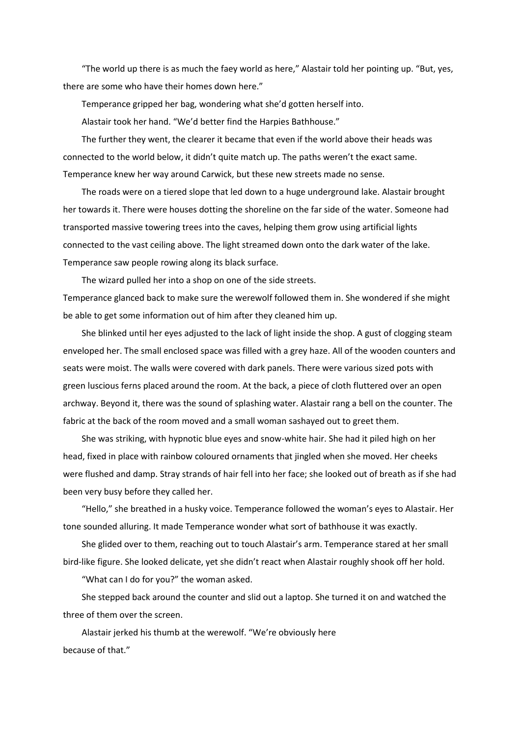"The world up there is as much the faey world as here," Alastair told her pointing up. "But, yes, there are some who have their homes down here."

Temperance gripped her bag, wondering what she'd gotten herself into.

Alastair took her hand. "We'd better find the Harpies Bathhouse."

The further they went, the clearer it became that even if the world above their heads was connected to the world below, it didn't quite match up. The paths weren't the exact same. Temperance knew her way around Carwick, but these new streets made no sense.

The roads were on a tiered slope that led down to a huge underground lake. Alastair brought her towards it. There were houses dotting the shoreline on the far side of the water. Someone had transported massive towering trees into the caves, helping them grow using artificial lights connected to the vast ceiling above. The light streamed down onto the dark water of the lake. Temperance saw people rowing along its black surface.

The wizard pulled her into a shop on one of the side streets.

Temperance glanced back to make sure the werewolf followed them in. She wondered if she might be able to get some information out of him after they cleaned him up.

She blinked until her eyes adjusted to the lack of light inside the shop. A gust of clogging steam enveloped her. The small enclosed space was filled with a grey haze. All of the wooden counters and seats were moist. The walls were covered with dark panels. There were various sized pots with green luscious ferns placed around the room. At the back, a piece of cloth fluttered over an open archway. Beyond it, there was the sound of splashing water. Alastair rang a bell on the counter. The fabric at the back of the room moved and a small woman sashayed out to greet them.

She was striking, with hypnotic blue eyes and snow-white hair. She had it piled high on her head, fixed in place with rainbow coloured ornaments that jingled when she moved. Her cheeks were flushed and damp. Stray strands of hair fell into her face; she looked out of breath as if she had been very busy before they called her.

"Hello," she breathed in a husky voice. Temperance followed the woman's eyes to Alastair. Her tone sounded alluring. It made Temperance wonder what sort of bathhouse it was exactly.

She glided over to them, reaching out to touch Alastair's arm. Temperance stared at her small bird-like figure. She looked delicate, yet she didn't react when Alastair roughly shook off her hold.

"What can I do for you?" the woman asked.

She stepped back around the counter and slid out a laptop. She turned it on and watched the three of them over the screen.

Alastair jerked his thumb at the werewolf. "We're obviously here because of that."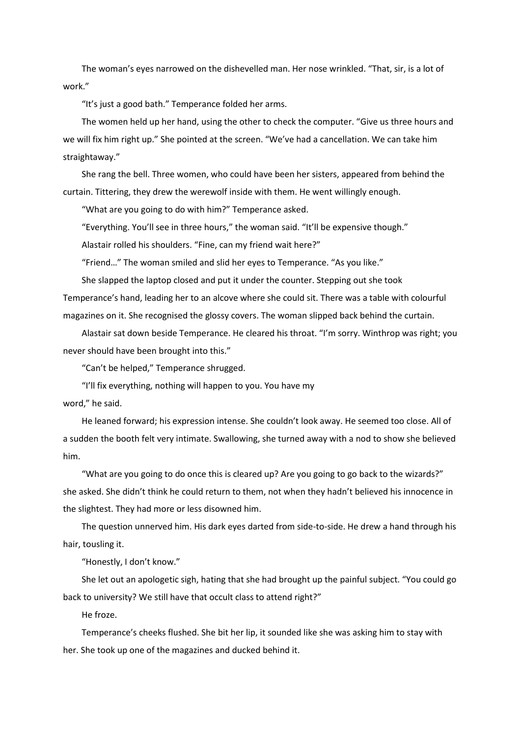The woman's eyes narrowed on the dishevelled man. Her nose wrinkled. "That, sir, is a lot of work."

"It's just a good bath." Temperance folded her arms.

The women held up her hand, using the other to check the computer. "Give us three hours and we will fix him right up." She pointed at the screen. "We've had a cancellation. We can take him straightaway."

She rang the bell. Three women, who could have been her sisters, appeared from behind the curtain. Tittering, they drew the werewolf inside with them. He went willingly enough.

"What are you going to do with him?" Temperance asked.

"Everything. You'll see in three hours," the woman said. "It'll be expensive though."

Alastair rolled his shoulders. "Fine, can my friend wait here?"

"Friend…" The woman smiled and slid her eyes to Temperance. "As you like."

She slapped the laptop closed and put it under the counter. Stepping out she took Temperance's hand, leading her to an alcove where she could sit. There was a table with colourful magazines on it. She recognised the glossy covers. The woman slipped back behind the curtain.

Alastair sat down beside Temperance. He cleared his throat. "I'm sorry. Winthrop was right; you never should have been brought into this."

"Can't be helped," Temperance shrugged.

"I'll fix everything, nothing will happen to you. You have my

word," he said.

He leaned forward; his expression intense. She couldn't look away. He seemed too close. All of a sudden the booth felt very intimate. Swallowing, she turned away with a nod to show she believed him.

"What are you going to do once this is cleared up? Are you going to go back to the wizards?" she asked. She didn't think he could return to them, not when they hadn't believed his innocence in the slightest. They had more or less disowned him.

The question unnerved him. His dark eyes darted from side-to-side. He drew a hand through his hair, tousling it.

"Honestly, I don't know."

She let out an apologetic sigh, hating that she had brought up the painful subject. "You could go back to university? We still have that occult class to attend right?"

He froze.

Temperance's cheeks flushed. She bit her lip, it sounded like she was asking him to stay with her. She took up one of the magazines and ducked behind it.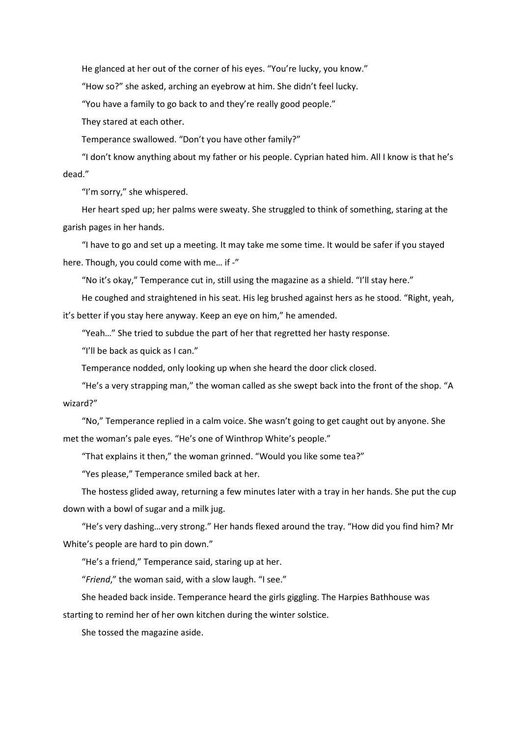He glanced at her out of the corner of his eyes. "You're lucky, you know."

"How so?" she asked, arching an eyebrow at him. She didn't feel lucky.

"You have a family to go back to and they're really good people."

They stared at each other.

Temperance swallowed. "Don't you have other family?"

"I don't know anything about my father or his people. Cyprian hated him. All I know is that he's dead."

"I'm sorry," she whispered.

Her heart sped up; her palms were sweaty. She struggled to think of something, staring at the garish pages in her hands.

"I have to go and set up a meeting. It may take me some time. It would be safer if you stayed here. Though, you could come with me… if -"

"No it's okay," Temperance cut in, still using the magazine as a shield. "I'll stay here."

He coughed and straightened in his seat. His leg brushed against hers as he stood. "Right, yeah, it's better if you stay here anyway. Keep an eye on him," he amended.

"Yeah…" She tried to subdue the part of her that regretted her hasty response.

"I'll be back as quick as I can."

Temperance nodded, only looking up when she heard the door click closed.

"He's a very strapping man," the woman called as she swept back into the front of the shop. "A wizard?"

"No," Temperance replied in a calm voice. She wasn't going to get caught out by anyone. She met the woman's pale eyes. "He's one of Winthrop White's people."

"That explains it then," the woman grinned. "Would you like some tea?"

"Yes please," Temperance smiled back at her.

The hostess glided away, returning a few minutes later with a tray in her hands. She put the cup down with a bowl of sugar and a milk jug.

"He's very dashing…very strong." Her hands flexed around the tray. "How did you find him? Mr White's people are hard to pin down."

"He's a friend," Temperance said, staring up at her.

"*Friend*," the woman said, with a slow laugh. "I see."

She headed back inside. Temperance heard the girls giggling. The Harpies Bathhouse was

starting to remind her of her own kitchen during the winter solstice.

She tossed the magazine aside.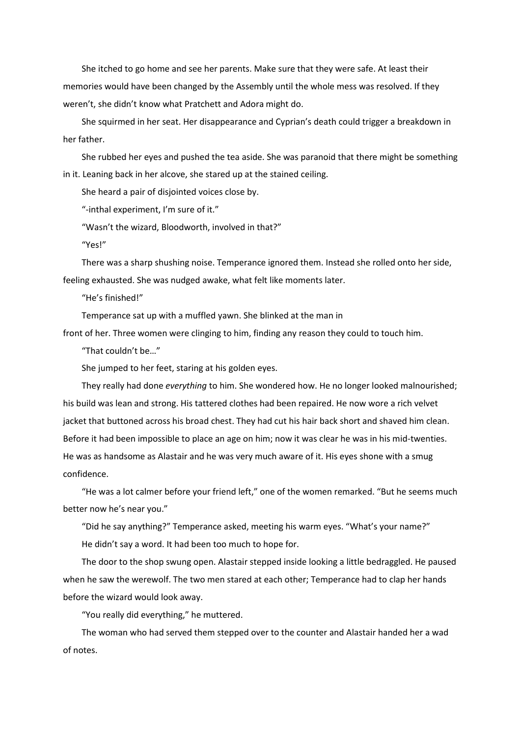She itched to go home and see her parents. Make sure that they were safe. At least their memories would have been changed by the Assembly until the whole mess was resolved. If they weren't, she didn't know what Pratchett and Adora might do.

She squirmed in her seat. Her disappearance and Cyprian's death could trigger a breakdown in her father.

She rubbed her eyes and pushed the tea aside. She was paranoid that there might be something in it. Leaning back in her alcove, she stared up at the stained ceiling.

She heard a pair of disjointed voices close by.

"-inthal experiment, I'm sure of it."

"Wasn't the wizard, Bloodworth, involved in that?"

"Yes!"

There was a sharp shushing noise. Temperance ignored them. Instead she rolled onto her side, feeling exhausted. She was nudged awake, what felt like moments later.

"He's finished!"

Temperance sat up with a muffled yawn. She blinked at the man in

front of her. Three women were clinging to him, finding any reason they could to touch him.

"That couldn't be…"

She jumped to her feet, staring at his golden eyes.

They really had done *everything* to him. She wondered how. He no longer looked malnourished; his build was lean and strong. His tattered clothes had been repaired. He now wore a rich velvet jacket that buttoned across his broad chest. They had cut his hair back short and shaved him clean. Before it had been impossible to place an age on him; now it was clear he was in his mid-twenties. He was as handsome as Alastair and he was very much aware of it. His eyes shone with a smug confidence.

"He was a lot calmer before your friend left," one of the women remarked. "But he seems much better now he's near you."

"Did he say anything?" Temperance asked, meeting his warm eyes. "What's your name?"

He didn't say a word. It had been too much to hope for.

The door to the shop swung open. Alastair stepped inside looking a little bedraggled. He paused when he saw the werewolf. The two men stared at each other; Temperance had to clap her hands before the wizard would look away.

"You really did everything," he muttered.

The woman who had served them stepped over to the counter and Alastair handed her a wad of notes.